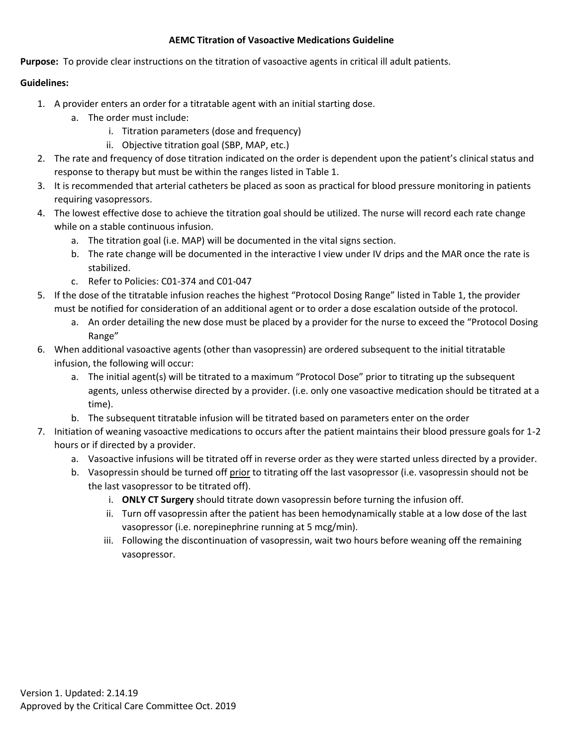## **AEMC Titration of Vasoactive Medications Guideline**

**Purpose:** To provide clear instructions on the titration of vasoactive agents in critical ill adult patients.

## **Guidelines:**

- 1. A provider enters an order for a titratable agent with an initial starting dose.
	- a. The order must include:
		- i. Titration parameters (dose and frequency)
		- ii. Objective titration goal (SBP, MAP, etc.)
- 2. The rate and frequency of dose titration indicated on the order is dependent upon the patient's clinical status and response to therapy but must be within the ranges listed in Table 1.
- 3. It is recommended that arterial catheters be placed as soon as practical for blood pressure monitoring in patients requiring vasopressors.
- 4. The lowest effective dose to achieve the titration goal should be utilized. The nurse will record each rate change while on a stable continuous infusion.
	- a. The titration goal (i.e. MAP) will be documented in the vital signs section.
	- b. The rate change will be documented in the interactive I view under IV drips and the MAR once the rate is stabilized.
	- c. Refer to Policies: C01-374 and C01-047
- 5. If the dose of the titratable infusion reaches the highest "Protocol Dosing Range" listed in Table 1, the provider must be notified for consideration of an additional agent or to order a dose escalation outside of the protocol.
	- a. An order detailing the new dose must be placed by a provider for the nurse to exceed the "Protocol Dosing Range"
- 6. When additional vasoactive agents (other than vasopressin) are ordered subsequent to the initial titratable infusion, the following will occur:
	- a. The initial agent(s) will be titrated to a maximum "Protocol Dose" prior to titrating up the subsequent agents, unless otherwise directed by a provider. (i.e. only one vasoactive medication should be titrated at a time).
	- b. The subsequent titratable infusion will be titrated based on parameters enter on the order
- 7. Initiation of weaning vasoactive medications to occurs after the patient maintains their blood pressure goals for 1-2 hours or if directed by a provider.
	- a. Vasoactive infusions will be titrated off in reverse order as they were started unless directed by a provider.
	- b. Vasopressin should be turned off prior to titrating off the last vasopressor (i.e. vasopressin should not be the last vasopressor to be titrated off).
		- i. **ONLY CT Surgery** should titrate down vasopressin before turning the infusion off.
		- ii. Turn off vasopressin after the patient has been hemodynamically stable at a low dose of the last vasopressor (i.e. norepinephrine running at 5 mcg/min).
		- iii. Following the discontinuation of vasopressin, wait two hours before weaning off the remaining vasopressor.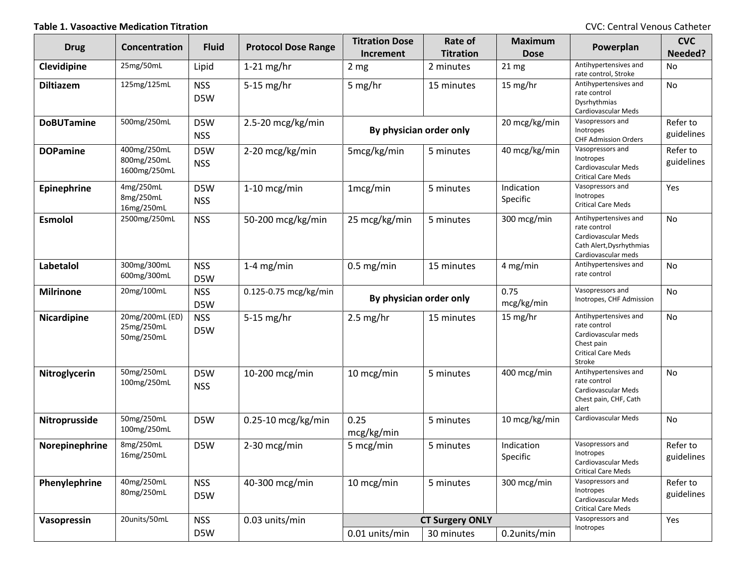**Table 1. Vasoactive Medication Titration** CVC: Central Venous Catheter

| <b>Drug</b>        | Concentration                               | <b>Fluid</b>      | <b>Protocol Dose Range</b> | <b>Titration Dose</b><br>Increment | Rate of<br><b>Titration</b> | <b>Maximum</b><br><b>Dose</b> | Powerplan                                                                                                         | <b>CVC</b><br>Needed?  |
|--------------------|---------------------------------------------|-------------------|----------------------------|------------------------------------|-----------------------------|-------------------------------|-------------------------------------------------------------------------------------------------------------------|------------------------|
| Clevidipine        | 25mg/50mL                                   | Lipid             | $1-21$ mg/hr               | 2 <sub>mg</sub>                    | 2 minutes                   | 21 mg                         | Antihypertensives and<br>rate control, Stroke                                                                     | No                     |
| <b>Diltiazem</b>   | 125mg/125mL                                 | <b>NSS</b><br>D5W | $5-15$ mg/hr               | 5 mg/hr                            | 15 minutes                  | 15 mg/hr                      | Antihypertensives and<br>rate control<br>Dysrhythmias<br>Cardiovascular Meds                                      | No                     |
| <b>DoBUTamine</b>  | 500mg/250mL                                 | D5W<br><b>NSS</b> | 2.5-20 mcg/kg/min          | By physician order only            |                             | 20 mcg/kg/min                 | Vasopressors and<br>Inotropes<br><b>CHF Admission Orders</b>                                                      | Refer to<br>guidelines |
| <b>DOPamine</b>    | 400mg/250mL<br>800mg/250mL<br>1600mg/250mL  | D5W<br><b>NSS</b> | 2-20 mcg/kg/min            | 5mcg/kg/min                        | 5 minutes                   | 40 mcg/kg/min                 | Vasopressors and<br>Inotropes<br>Cardiovascular Meds<br><b>Critical Care Meds</b>                                 | Refer to<br>guidelines |
| Epinephrine        | 4mg/250mL<br>8mg/250mL<br>16mg/250mL        | D5W<br><b>NSS</b> | 1-10 mcg/min               | 1mcg/min                           | 5 minutes                   | Indication<br>Specific        | Vasopressors and<br>Inotropes<br><b>Critical Care Meds</b>                                                        | Yes                    |
| <b>Esmolol</b>     | 2500mg/250mL                                | <b>NSS</b>        | 50-200 mcg/kg/min          | 25 mcg/kg/min                      | 5 minutes                   | 300 mcg/min                   | Antihypertensives and<br>rate control<br>Cardiovascular Meds<br>Cath Alert, Dysrhythmias<br>Cardiovascular meds   | No                     |
| Labetalol          | 300mg/300mL<br>600mg/300mL                  | <b>NSS</b><br>D5W | $1-4$ mg/min               | $0.5$ mg/min                       | 15 minutes                  | 4 mg/min                      | Antihypertensives and<br>rate control                                                                             | No                     |
| <b>Milrinone</b>   | 20mg/100mL                                  | <b>NSS</b><br>D5W | 0.125-0.75 mcg/kg/min      | By physician order only            |                             | 0.75<br>mcg/kg/min            | Vasopressors and<br>Inotropes, CHF Admission                                                                      | No                     |
| <b>Nicardipine</b> | 20mg/200mL (ED)<br>25mg/250mL<br>50mg/250mL | <b>NSS</b><br>D5W | $5-15$ mg/hr               | $2.5 \text{ mg/hr}$                | 15 minutes                  | 15 mg/hr                      | Antihypertensives and<br>rate control<br>Cardiovascular meds<br>Chest pain<br><b>Critical Care Meds</b><br>Stroke | No                     |
| Nitroglycerin      | 50mg/250mL<br>100mg/250mL                   | D5W<br><b>NSS</b> | 10-200 mcg/min             | 10 mcg/min                         | 5 minutes                   | 400 mcg/min                   | Antihypertensives and<br>rate control<br>Cardiovascular Meds<br>Chest pain, CHF, Cath<br>alert                    | No                     |
| Nitroprusside      | 50mg/250mL<br>100mg/250mL                   | D5W               | 0.25-10 mcg/kg/min         | 0.25<br>mcg/kg/min                 | 5 minutes                   | 10 mcg/kg/min                 | Cardiovascular Meds                                                                                               | No                     |
| Norepinephrine     | 8mg/250mL<br>16mg/250mL                     | D5W               | 2-30 mcg/min               | 5 mcg/min                          | 5 minutes                   | Indication<br>Specific        | Vasopressors and<br>Inotropes<br>Cardiovascular Meds<br><b>Critical Care Meds</b>                                 | Refer to<br>guidelines |
| Phenylephrine      | 40mg/250mL<br>80mg/250mL                    | <b>NSS</b><br>D5W | 40-300 mcg/min             | 10 mcg/min                         | 5 minutes                   | 300 mcg/min                   | Vasopressors and<br>Inotropes<br>Cardiovascular Meds<br><b>Critical Care Meds</b>                                 | Refer to<br>guidelines |
| Vasopressin        | 20units/50mL                                | <b>NSS</b>        | 0.03 units/min             | <b>CT Surgery ONLY</b>             |                             |                               | Vasopressors and                                                                                                  | Yes                    |
|                    |                                             | D5W               |                            | 0.01 units/min                     | 30 minutes                  | 0.2units/min                  | Inotropes                                                                                                         |                        |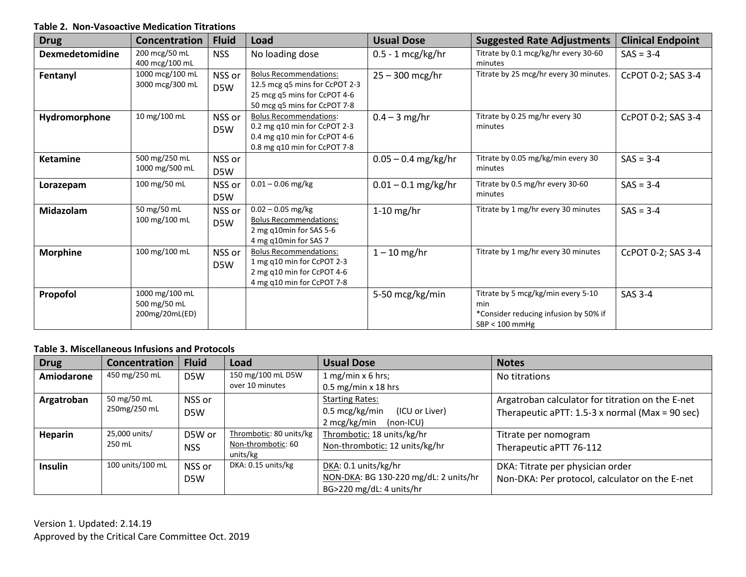## **Table 2. Non-Vasoactive Medication Titrations**

| <b>Drug</b>            | Concentration                                    | <b>Fluid</b>  | Load                                                                                                                            | <b>Usual Dose</b>     | <b>Suggested Rate Adjustments</b>                                                                      | <b>Clinical Endpoint</b> |
|------------------------|--------------------------------------------------|---------------|---------------------------------------------------------------------------------------------------------------------------------|-----------------------|--------------------------------------------------------------------------------------------------------|--------------------------|
| <b>Dexmedetomidine</b> | 200 mcg/50 mL<br>400 mcg/100 mL                  | <b>NSS</b>    | No loading dose                                                                                                                 | $0.5 - 1$ mcg/kg/hr   | Titrate by 0.1 mcg/kg/hr every 30-60<br>minutes                                                        | $SAS = 3-4$              |
| Fentanyl               | 1000 mcg/100 mL<br>3000 mcg/300 mL               | NSS or<br>D5W | <b>Bolus Recommendations:</b><br>12.5 mcg q5 mins for CcPOT 2-3<br>25 mcg q5 mins for CcPOT 4-6<br>50 mcg q5 mins for CcPOT 7-8 | $25 - 300$ mcg/hr     | Titrate by 25 mcg/hr every 30 minutes.                                                                 | CcPOT 0-2; SAS 3-4       |
| Hydromorphone          | 10 mg/100 mL                                     | NSS or<br>D5W | <b>Bolus Recommendations:</b><br>0.2 mg q10 min for CcPOT 2-3<br>0.4 mg q10 min for CcPOT 4-6<br>0.8 mg q10 min for CcPOT 7-8   | $0.4 - 3$ mg/hr       | Titrate by 0.25 mg/hr every 30<br>minutes                                                              | CcPOT 0-2; SAS 3-4       |
| <b>Ketamine</b>        | 500 mg/250 mL<br>1000 mg/500 mL                  | NSS or<br>D5W |                                                                                                                                 | $0.05 - 0.4$ mg/kg/hr | Titrate by 0.05 mg/kg/min every 30<br>minutes                                                          | $SAS = 3-4$              |
| Lorazepam              | 100 mg/50 mL                                     | NSS or<br>D5W | $0.01 - 0.06$ mg/kg                                                                                                             | $0.01 - 0.1$ mg/kg/hr | Titrate by 0.5 mg/hr every 30-60<br>minutes                                                            | $SAS = 3-4$              |
| <b>Midazolam</b>       | 50 mg/50 mL<br>100 mg/100 mL                     | NSS or<br>D5W | $0.02 - 0.05$ mg/kg<br><b>Bolus Recommendations:</b><br>2 mg q10min for SAS 5-6<br>4 mg q10min for SAS 7                        | $1-10$ mg/hr          | Titrate by 1 mg/hr every 30 minutes                                                                    | $SAS = 3-4$              |
| <b>Morphine</b>        | 100 mg/100 mL                                    | NSS or<br>D5W | <b>Bolus Recommendations:</b><br>1 mg q10 min for CcPOT 2-3<br>2 mg q10 min for CcPOT 4-6<br>4 mg q10 min for CcPOT 7-8         | $1 - 10$ mg/hr        | Titrate by 1 mg/hr every 30 minutes                                                                    | CcPOT 0-2; SAS 3-4       |
| Propofol               | 1000 mg/100 mL<br>500 mg/50 mL<br>200mg/20mL(ED) |               |                                                                                                                                 | 5-50 mcg/kg/min       | Titrate by 5 mcg/kg/min every 5-10<br>min<br>*Consider reducing infusion by 50% if<br>$SBP < 100$ mmHg | SAS 3-4                  |

## **Table 3. Miscellaneous Infusions and Protocols**

| <b>Drug</b>       | <b>Concentration</b>        | <b>Fluid</b>               | Load                                                      | <b>Usual Dose</b>                                                                                 | <b>Notes</b>                                                                                        |
|-------------------|-----------------------------|----------------------------|-----------------------------------------------------------|---------------------------------------------------------------------------------------------------|-----------------------------------------------------------------------------------------------------|
| <b>Amiodarone</b> | 450 mg/250 mL               | D <sub>5</sub> W           | 150 mg/100 mL D5W<br>over 10 minutes                      | 1 mg/min $x$ 6 hrs;<br>$0.5$ mg/min x 18 hrs                                                      | No titrations                                                                                       |
| Argatroban        | 50 mg/50 mL<br>250mg/250 mL | NSS or<br>D <sub>5</sub> W |                                                           | <b>Starting Rates:</b><br>$0.5 \text{ mcg/kg/min}$<br>(ICU or Liver)<br>2 mcg/kg/min<br>(non-ICU) | Argatroban calculator for titration on the E-net<br>Therapeutic aPTT: 1.5-3 x normal (Max = 90 sec) |
| <b>Heparin</b>    | 25,000 units/<br>250 mL     | D5W or<br><b>NSS</b>       | Thrombotic: 80 units/kg<br>Non-thrombotic: 60<br>units/kg | Thrombotic: 18 units/kg/hr<br>Non-thrombotic: 12 units/kg/hr                                      | Titrate per nomogram<br>Therapeutic aPTT 76-112                                                     |
| <b>Insulin</b>    | 100 units/100 mL            | NSS or<br>D5W              | DKA: 0.15 units/kg                                        | DKA: 0.1 units/kg/hr<br>NON-DKA: BG 130-220 mg/dL: 2 units/hr<br>BG>220 mg/dL: 4 units/hr         | DKA: Titrate per physician order<br>Non-DKA: Per protocol, calculator on the E-net                  |